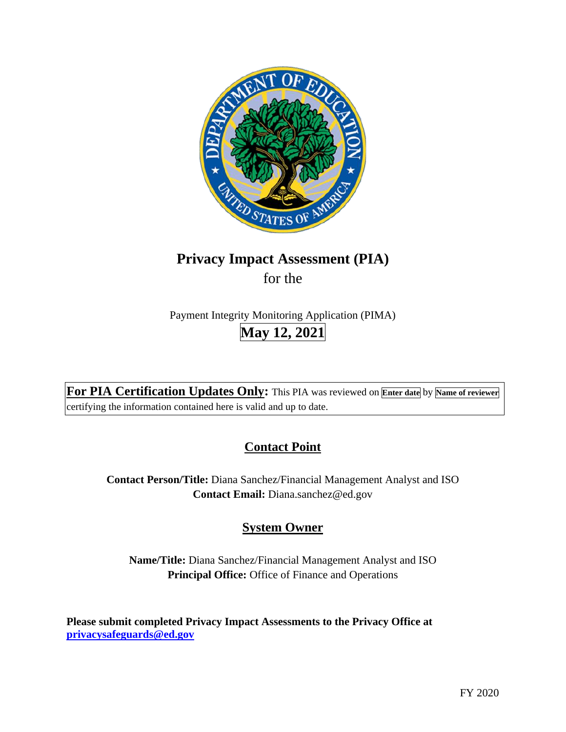

# **Privacy Impact Assessment (PIA)**

for the

Payment Integrity Monitoring Application (PIMA) **May 12, 2021** 

**For PIA Certification Updates Only:** This PIA was reviewed on **Enter date** by **Name of reviewer**  certifying the information contained here is valid and up to date.

# **Contact Point**

**Contact Person/Title:** Diana Sanchez/Financial Management Analyst and ISO **Contact Email:** [Diana.sanchez@ed.gov](mailto:Diana.sanchez@ed.gov)

# **System Owner**

**Name/Title:** Diana Sanchez/Financial Management Analyst and ISO **Principal Office:** Office of Finance and Operations

**Please submit completed Privacy Impact Assessments to the Privacy Office at [privacysafeguards@ed.gov](mailto:privacysafeguards@ed.gov)**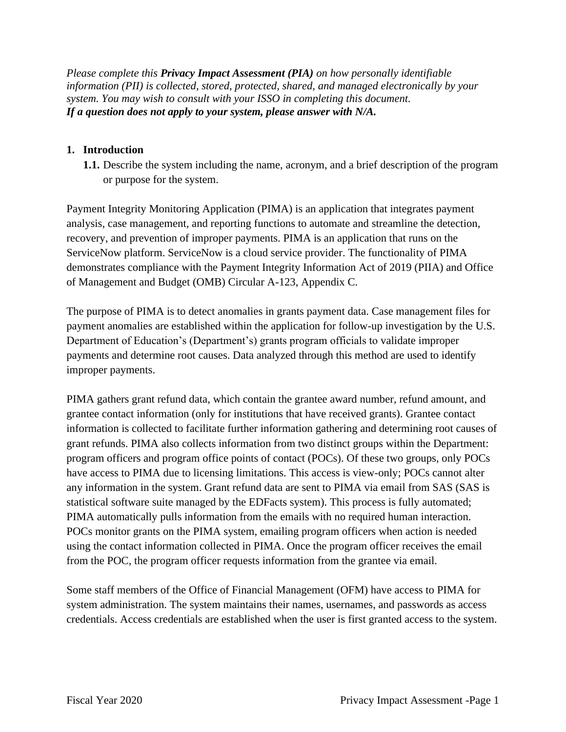*Please complete this Privacy Impact Assessment (PIA) on how personally identifiable information (PII) is collected, stored, protected, shared, and managed electronically by your system. You may wish to consult with your ISSO in completing this document. If a question does not apply to your system, please answer with N/A.* 

### **1. Introduction**

**1.1.** Describe the system including the name, acronym, and a brief description of the program or purpose for the system.

Payment Integrity Monitoring Application (PIMA) is an application that integrates payment analysis, case management, and reporting functions to automate and streamline the detection, recovery, and prevention of improper payments. PIMA is an application that runs on the ServiceNow platform. ServiceNow is a cloud service provider. The functionality of PIMA demonstrates compliance with the Payment Integrity Information Act of 2019 (PIIA) and Office of Management and Budget (OMB) Circular A-123, Appendix C.

The purpose of PIMA is to detect anomalies in grants payment data. Case management files for payment anomalies are established within the application for follow-up investigation by the U.S. Department of Education's (Department's) grants program officials to validate improper payments and determine root causes. Data analyzed through this method are used to identify improper payments.

PIMA gathers grant refund data, which contain the grantee award number, refund amount, and grantee contact information (only for institutions that have received grants). Grantee contact information is collected to facilitate further information gathering and determining root causes of grant refunds. PIMA also collects information from two distinct groups within the Department: program officers and program office points of contact (POCs). Of these two groups, only POCs have access to PIMA due to licensing limitations. This access is view-only; POCs cannot alter any information in the system. Grant refund data are sent to PIMA via email from SAS (SAS is statistical software suite managed by the EDFacts system). This process is fully automated; PIMA automatically pulls information from the emails with no required human interaction. POCs monitor grants on the PIMA system, emailing program officers when action is needed using the contact information collected in PIMA. Once the program officer receives the email from the POC, the program officer requests information from the grantee via email.

Some staff members of the Office of Financial Management (OFM) have access to PIMA for system administration. The system maintains their names, usernames, and passwords as access credentials. Access credentials are established when the user is first granted access to the system.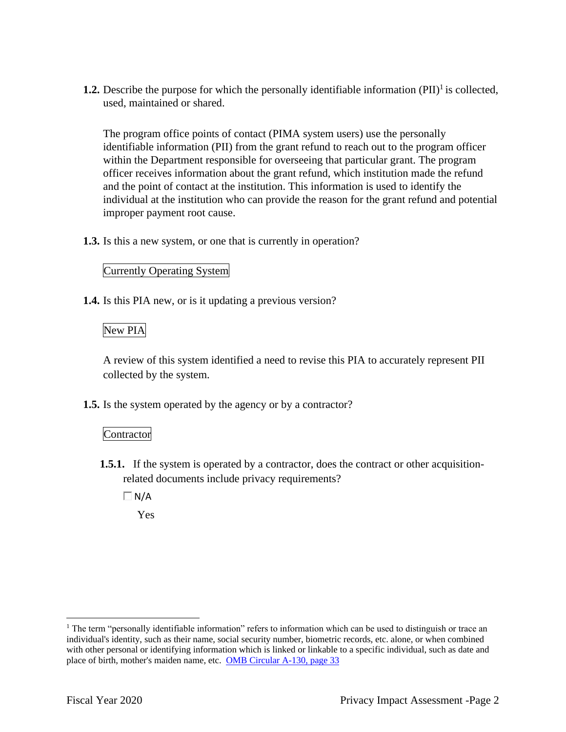**1.2.** Describe the purpose for which the personally identifiable information (PII)<sup>1</sup> is collected, used, maintained or shared.

The program office points of contact (PIMA system users) use the personally identifiable information (PII) from the grant refund to reach out to the program officer within the Department responsible for overseeing that particular grant. The program officer receives information about the grant refund, which institution made the refund and the point of contact at the institution. This information is used to identify the individual at the institution who can provide the reason for the grant refund and potential improper payment root cause.

**1.3.** Is this a new system, or one that is currently in operation?

#### Currently Operating System

**1.4.** Is this PIA new, or is it updating a previous version?

## New PIA

A review of this system identified a need to revise this PIA to accurately represent PII collected by the system.

**1.5.** Is the system operated by the agency or by a contractor?

#### Contractor

**1.5.1.** If the system is operated by a contractor, does the contract or other acquisitionrelated documents include privacy requirements?

 $\Box$ N/A

Yes

<sup>&</sup>lt;sup>1</sup> The term "personally identifiable information" refers to information which can be used to distinguish or trace an individual's identity, such as their name, social security number, biometric records, etc. alone, or when combined with other personal or identifying information which is linked or linkable to a specific individual, such as date and place of birth, mother's maiden name, etc. OMB Circular A-130, page 33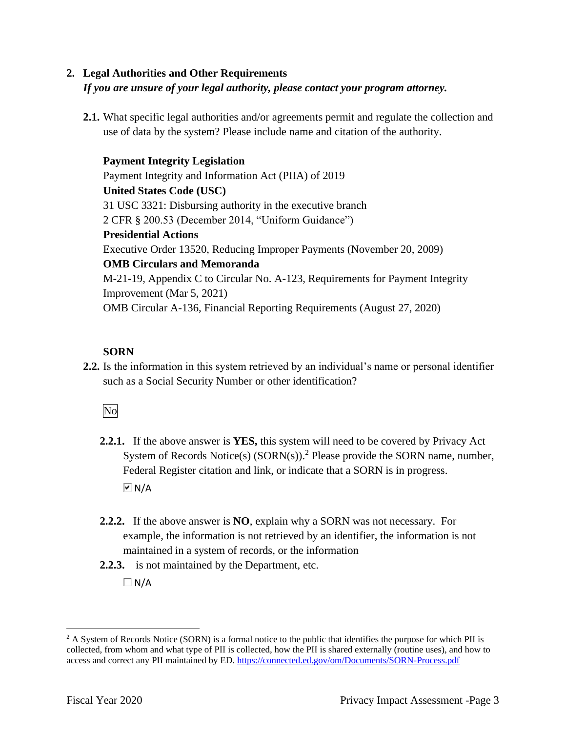## **2. Legal Authorities and Other Requirements**  *If you are unsure of your legal authority, please contact your program attorney.*

**2.1.** What specific legal authorities and/or agreements permit and regulate the collection and use of data by the system? Please include name and citation of the authority.

**Payment Integrity Legislation**  Payment Integrity and Information Act (PIIA) of 2019 **United States Code (USC)**  31 USC 3321: Disbursing authority in the executive branch 2 CFR § 200.53 (December 2014, "Uniform Guidance") **Presidential Actions**  Executive Order 13520, Reducing Improper Payments (November 20, 2009) **OMB Circulars and Memoranda**  M-21-19, Appendix C to Circular No. A-123, Requirements for Payment Integrity Improvement (Mar 5, 2021) OMB Circular A-136, Financial Reporting Requirements (August 27, 2020)

## **SORN**

**2.2.** Is the information in this system retrieved by an individual's name or personal identifier such as a Social Security Number or other identification?

# No

- **2.2.1.** If the above answer is **YES,** this system will need to be covered by Privacy Act System of Records Notice(s)  $(SORN(s))$ .<sup>2</sup> Please provide the SORN name, number, Federal Register citation and link, or indicate that a SORN is in progress.  $\overline{\triangleright}$  N/A
- **2.2.2.** If the above answer is **NO**, explain why a SORN was not necessary. For example, the information is not retrieved by an identifier, the information is not maintained in a system of records, or the information
- **2.2.3.** is not maintained by the Department, etc.

 $\Box$ N/A

<sup>&</sup>lt;sup>2</sup> A System of Records Notice (SORN) is a formal notice to the public that identifies the purpose for which PII is collected, from whom and what type of PII is collected, how the PII is shared externally (routine uses), and how to access and correct any PII maintained by ED. <https://connected.ed.gov/om/Documents/SORN-Process.pdf>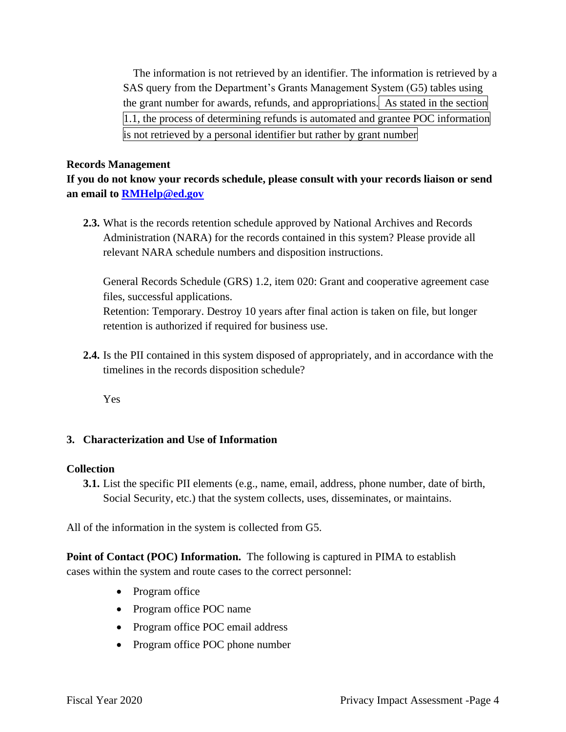the grant number for awards, refunds, and appropriations. As stated in the section The information is not retrieved by an identifier. The information is retrieved by a SAS query from the Department's Grants Management System (G5) tables using 1.1, the process of determining refunds is automated and grantee POC information is not retrieved by a personal identifier but rather by grant number

#### **Records Management**

**If you do not know your records schedule, please consult with your records liaison or send an email to [RMHelp@ed.gov](mailto:RMHelp@ed.gov)** 

**2.3.** What is the records retention schedule approved by National Archives and Records Administration (NARA) for the records contained in this system? Please provide all relevant NARA schedule numbers and disposition instructions.

General Records Schedule (GRS) 1.2, item 020: Grant and cooperative agreement case files, successful applications. Retention: Temporary. Destroy 10 years after final action is taken on file, but longer

retention is authorized if required for business use.

**2.4.** Is the PII contained in this system disposed of appropriately, and in accordance with the timelines in the records disposition schedule?

Yes

#### **3. Characterization and Use of Information**

#### **Collection**

**3.1.** List the specific PII elements (e.g., name, email, address, phone number, date of birth, Social Security, etc.) that the system collects, uses, disseminates, or maintains.

All of the information in the system is collected from G5.

 **Point of Contact (POC) Information.** The following is captured in PIMA to establish cases within the system and route cases to the correct personnel:

- Program office
- Program office POC name
- Program office POC email address
- Program office POC phone number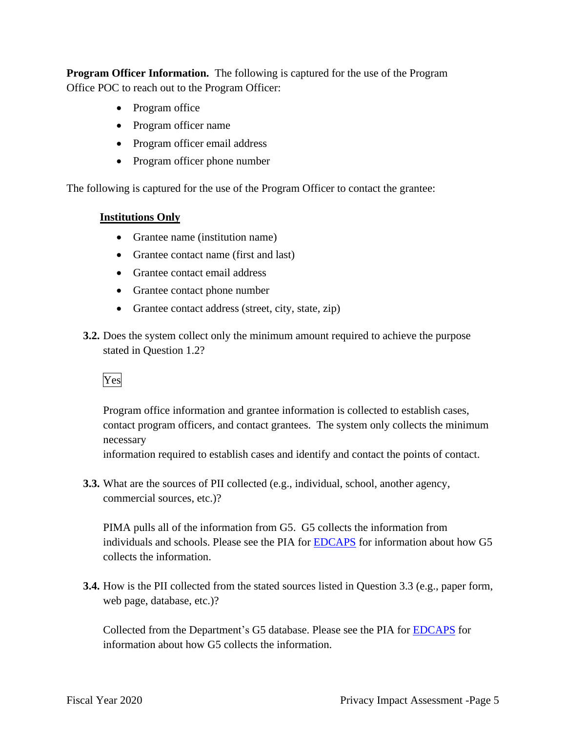**Program Officer Information.** The following is captured for the use of the Program Office POC to reach out to the Program Officer:

- Program office
- Program officer name
- Program officer email address
- Program officer phone number

The following is captured for the use of the Program Officer to contact the grantee:

#### **Institutions Only**

- Grantee name (institution name)
- Grantee contact name (first and last)
- Grantee contact email address
- Grantee contact phone number
- Grantee contact address (street, city, state, zip)
- **3.2.** Does the system collect only the minimum amount required to achieve the purpose stated in Question 1.2?

# Yes

Program office information and grantee information is collected to establish cases, contact program officers, and contact grantees. The system only collects the minimum necessary

information required to establish cases and identify and contact the points of contact.

**3.3.** What are the sources of PII collected (e.g., individual, school, another agency, commercial sources, etc.)?

PIMA pulls all of the information from G5. G5 collects the information from individuals and schools. Please see the PIA for EDCAPS for information about how G5 collects the information.

**3.4.** How is the PII collected from the stated sources listed in Question 3.3 (e.g., paper form, web page, database, etc.)?

Collected from the Department's G5 database. Please see the PIA for EDCAPS for information about how G5 collects the information.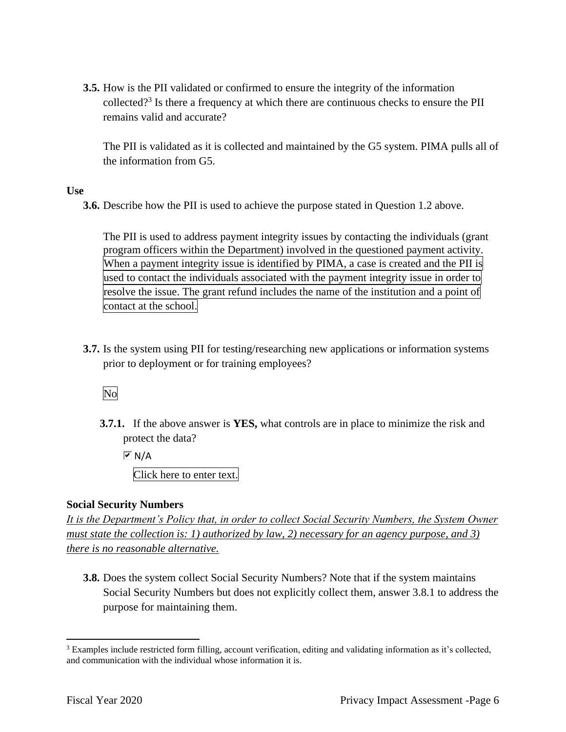**3.5.** How is the PII validated or confirmed to ensure the integrity of the information collected?3 Is there a frequency at which there are continuous checks to ensure the PII remains valid and accurate?

The PII is validated as it is collected and maintained by the G5 system. PIMA pulls all of the information from G5.

**Use** 

**3.6.** Describe how the PII is used to achieve the purpose stated in Question 1.2 above.

The PII is used to address payment integrity issues by contacting the individuals (grant program officers within the Department) involved in the questioned payment activity. When a payment integrity issue is identified by PIMA, a case is created and the PII is used to contact the individuals associated with the payment integrity issue in order to resolve the issue. The grant refund includes the name of the institution and a point of contact at the school.

**3.7.** Is the system using PII for testing/researching new applications or information systems prior to deployment or for training employees?

No

**3.7.1.** If the above answer is **YES,** what controls are in place to minimize the risk and protect the data?

 $\overline{M}$  N/A

Click here to enter text.

#### **Social Security Numbers**

*It is the Department's Policy that, in order to collect Social Security Numbers, the System Owner must state the collection is: 1) authorized by law, 2) necessary for an agency purpose, and 3) there is no reasonable alternative.* 

**3.8.** Does the system collect Social Security Numbers? Note that if the system maintains Social Security Numbers but does not explicitly collect them, answer 3.8.1 to address the purpose for maintaining them.

<sup>&</sup>lt;sup>3</sup> Examples include restricted form filling, account verification, editing and validating information as it's collected, and communication with the individual whose information it is.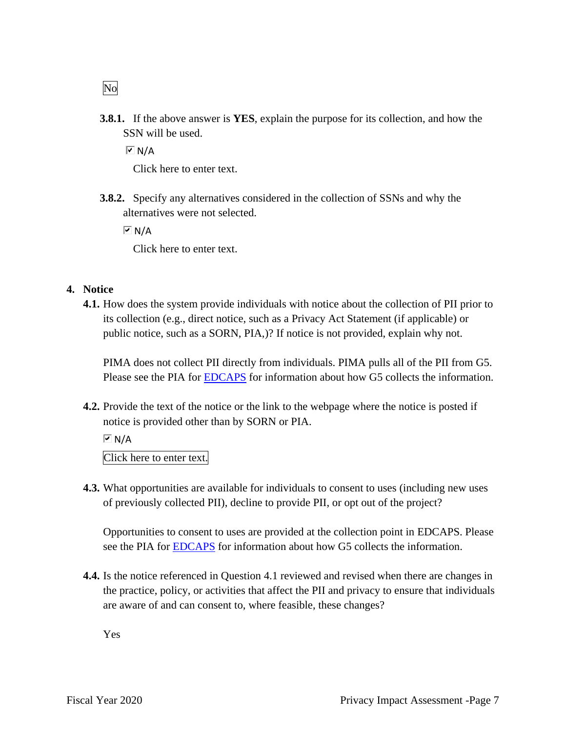**3.8.1.** If the above answer is **YES**, explain the purpose for its collection, and how the SSN will be used.

 $\overline{M}$  N/A

Click here to enter text.

**3.8.2.** Specify any alternatives considered in the collection of SSNs and why the alternatives were not selected.

 $\overline{V}$  N/A

Click here to enter text.

#### **4. Notice**

 **4.1.** How does the system provide individuals with notice about the collection of PII prior to its collection (e.g., direct notice, such as a Privacy Act Statement (if applicable) or public notice, such as a SORN, PIA,)? If notice is not provided, explain why not.

PIMA does not collect PII directly from individuals. PIMA pulls all of the PII from G5. Please see the PIA for EDCAPS for information about how G5 collects the information.

**4.2.** Provide the text of the notice or the link to the webpage where the notice is posted if notice is provided other than by SORN or PIA.

Click here to enter text.

**4.3.** What opportunities are available for individuals to consent to uses (including new uses of previously collected PII), decline to provide PII, or opt out of the project?

Opportunities to consent to uses are provided at the collection point in EDCAPS. Please see the PIA for EDCAPS for information about how G5 collects the information.

**4.4.** Is the notice referenced in Question 4.1 reviewed and revised when there are changes in the practice, policy, or activities that affect the PII and privacy to ensure that individuals are aware of and can consent to, where feasible, these changes?

Yes

No

 $\overline{M}$  N/A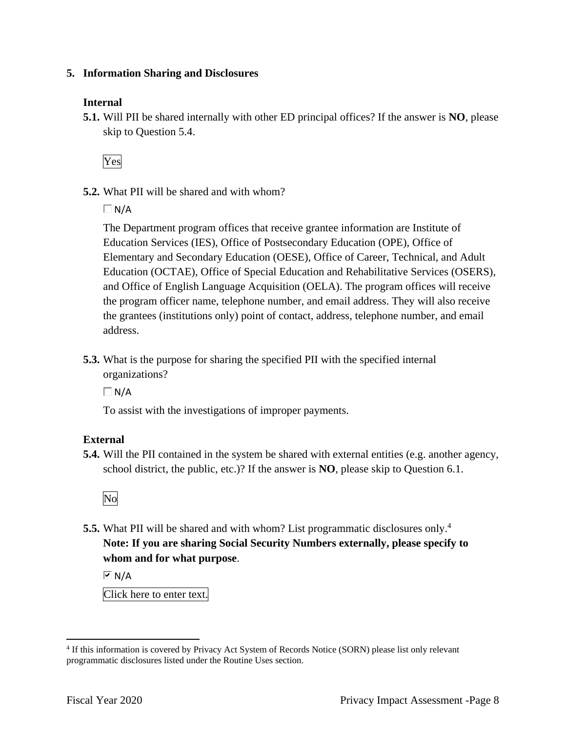#### **5. Information Sharing and Disclosures**

#### **Internal**

**5.1.** Will PII be shared internally with other ED principal offices? If the answer is **NO**, please skip to Question 5.4.

Yes

**5.2.** What PII will be shared and with whom?

 $\Box$ N/A

The Department program offices that receive grantee information are Institute of Education Services (IES), Office of Postsecondary Education (OPE), Office of Elementary and Secondary Education (OESE), Office of Career, Technical, and Adult Education (OCTAE), Office of Special Education and Rehabilitative Services (OSERS), and Office of English Language Acquisition (OELA). The program offices will receive the program officer name, telephone number, and email address. They will also receive the grantees (institutions only) point of contact, address, telephone number, and email address.

**5.3.** What is the purpose for sharing the specified PII with the specified internal organizations?

 $\Box$ N/A

To assist with the investigations of improper payments.

#### **External**

**5.4.** Will the PII contained in the system be shared with external entities (e.g. another agency, school district, the public, etc.)? If the answer is **NO**, please skip to Question 6.1.



**5.5.** What PII will be shared and with whom? List programmatic disclosures only.<sup>4</sup> **Note: If you are sharing Social Security Numbers externally, please specify to whom and for what purpose**.

 $\overline{M}$  N/A

Click here to enter text.

 4 If this information is covered by Privacy Act System of Records Notice (SORN) please list only relevant programmatic disclosures listed under the Routine Uses section.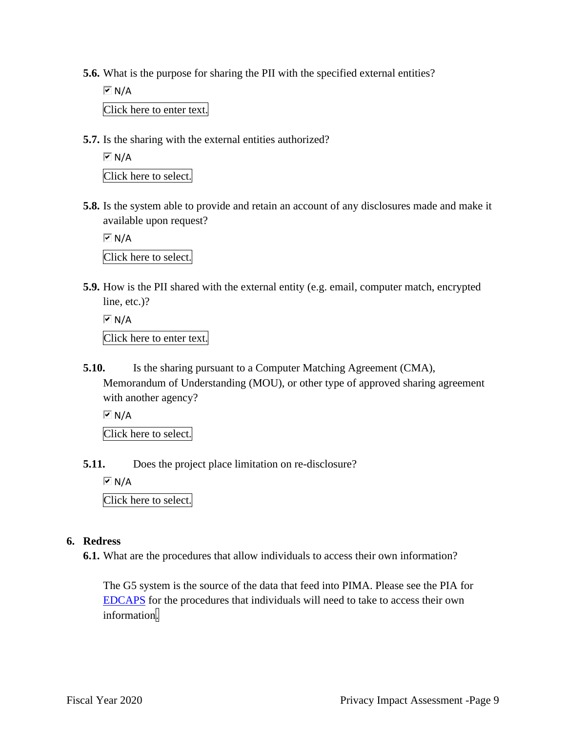**5.6.** What is the purpose for sharing the PII with the specified external entities?

 $\sqrt{M}$  N/A Click here to enter text.

**5.7.** Is the sharing with the external entities authorized?

 $\overline{M}$  N/A Click here to select.

**5.8.** Is the system able to provide and retain an account of any disclosures made and make it available upon request?

 $\overline{M}$  N/A

Click here to select.

**5.9.** How is the PII shared with the external entity (e.g. email, computer match, encrypted line, etc.)?

```
\overline{M} N/A
Click here to enter text.
```
**5.10.** Is the sharing pursuant to a Computer Matching Agreement (CMA), Memorandum of Understanding (MOU), or other type of approved sharing agreement with another agency?

 $\sqrt{M}$  N/A

Click here to select.

**5.11.** Does the project place limitation on re-disclosure?

 $\overline{M}$  N/A

Click here to select.

#### **6. Redress**

**6.1.** What are the procedures that allow individuals to access their own information?

The G5 system is the source of the data that feed into PIMA. Please see the PIA for EDCAPS for the procedures that individuals will need to take to access their own information.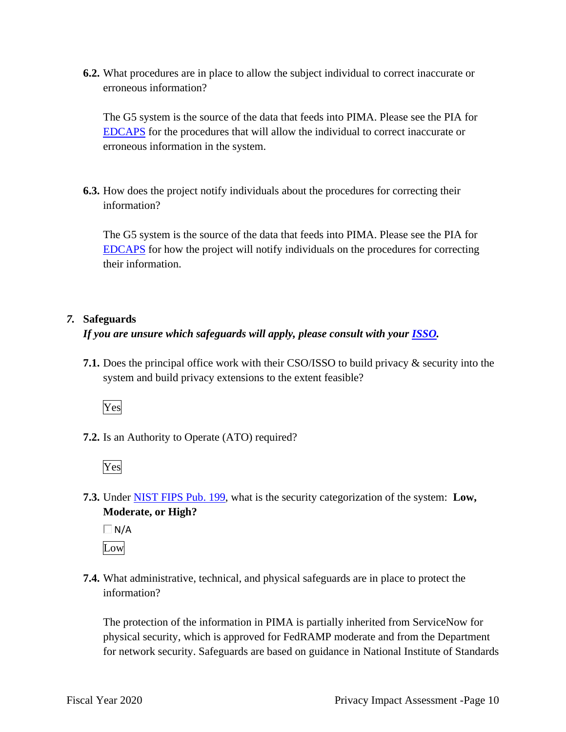**6.2.** What procedures are in place to allow the subject individual to correct inaccurate or erroneous information?

The G5 system is the source of the data that feeds into PIMA. Please see the PIA for EDCAPS for the procedures that will allow the individual to correct inaccurate or erroneous information in the system.

**6.3.** How does the project notify individuals about the procedures for correcting their information?

The G5 system is the source of the data that feeds into PIMA. Please see the PIA for EDCAPS for how the project will notify individuals on the procedures for correcting their information.

#### *7.* **Safeguards**

#### *If you are unsure which safeguards will apply, please consult with your ISSO.*

**7.1.** Does the principal office work with their CSO/ISSO to build privacy & security into the system and build privacy extensions to the extent feasible?

Yes

**7.2.** Is an Authority to Operate (ATO) required?

Yes

 **7.3.** Under NIST FIPS Pub. 199, what is the security categorization of the system: **Low, Moderate, or High?** 

 $\Box$ N/A Low

**7.4.** What administrative, technical, and physical safeguards are in place to protect the information?

The protection of the information in PIMA is partially inherited from ServiceNow for physical security, which is approved for FedRAMP moderate and from the Department for network security. Safeguards are based on guidance in National Institute of Standards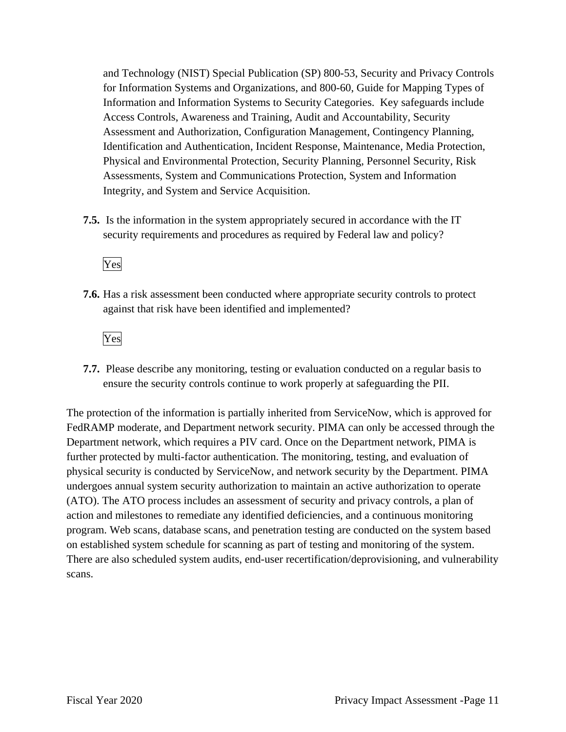Information and Information Systems to Security Categories. Key safeguards include and Technology (NIST) Special Publication (SP) 800-53, Security and Privacy Controls for Information Systems and Organizations, and 800-60, Guide for Mapping Types of Access Controls, Awareness and Training, Audit and Accountability, Security Assessment and Authorization, Configuration Management, Contingency Planning, Identification and Authentication, Incident Response, Maintenance, Media Protection, Physical and Environmental Protection, Security Planning, Personnel Security, Risk Assessments, System and Communications Protection, System and Information Integrity, and System and Service Acquisition.

**7.5.** Is the information in the system appropriately secured in accordance with the IT security requirements and procedures as required by Federal law and policy?

Yes

**7.6.** Has a risk assessment been conducted where appropriate security controls to protect against that risk have been identified and implemented?

Yes

**7.7.** Please describe any monitoring, testing or evaluation conducted on a regular basis to ensure the security controls continue to work properly at safeguarding the PII.

The protection of the information is partially inherited from ServiceNow, which is approved for FedRAMP moderate, and Department network security. PIMA can only be accessed through the Department network, which requires a PIV card. Once on the Department network, PIMA is further protected by multi-factor authentication. The monitoring, testing, and evaluation of physical security is conducted by ServiceNow, and network security by the Department. PIMA undergoes annual system security authorization to maintain an active authorization to operate (ATO). The ATO process includes an assessment of security and privacy controls, a plan of action and milestones to remediate any identified deficiencies, and a continuous monitoring program. Web scans, database scans, and penetration testing are conducted on the system based on established system schedule for scanning as part of testing and monitoring of the system. There are also scheduled system audits, end-user recertification/deprovisioning, and vulnerability scans.